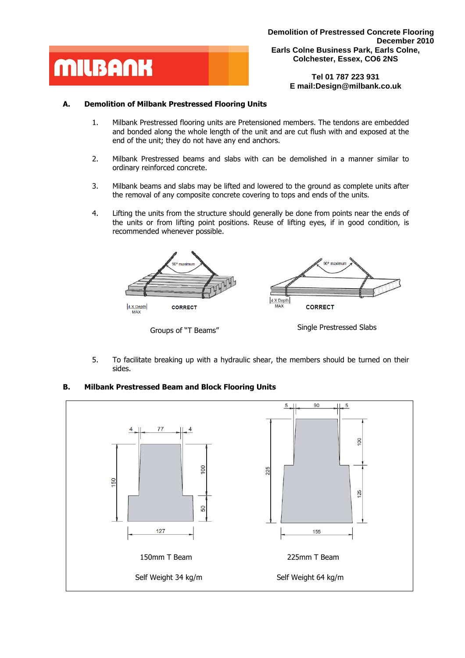

**Tel 01 787 223 931 E mail:Design@milbank.co.uk** 

## **A. Demolition of Milbank Prestressed Flooring Units**

- 1. Milbank Prestressed flooring units are Pretensioned members. The tendons are embedded and bonded along the whole length of the unit and are cut flush with and exposed at the end of the unit; they do not have any end anchors.
- 2. Milbank Prestressed beams and slabs with can be demolished in a manner similar to ordinary reinforced concrete.
- 3. Milbank beams and slabs may be lifted and lowered to the ground as complete units after the removal of any composite concrete covering to tops and ends of the units.
- 4. Lifting the units from the structure should generally be done from points near the ends of the units or from lifting point positions. Reuse of lifting eyes, if in good condition, is recommended whenever possible.



Groups of "T Beams" Single Prestressed Slabs

5. To facilitate breaking up with a hydraulic shear, the members should be turned on their sides.

## **B. Milbank Prestressed Beam and Block Flooring Units**